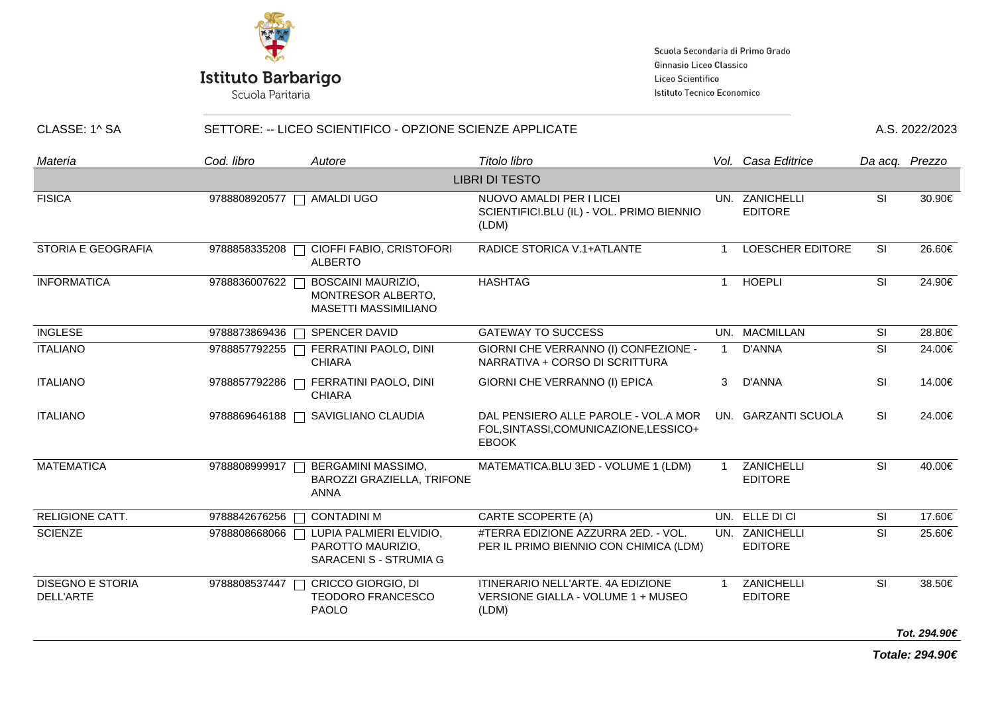

Scuola Paritaria

Scuola Secondaria di Primo Grado Ginnasio Liceo Classico Liceo Scientifico Istituto Tecnico Economico

| CLASSE: 1^ SA                        | SETTORE: -- LICEO SCIENTIFICO - OPZIONE SCIENZE APPLICATE |                                                                        |                                                                                                |              |                                  |                          | A.S. 2022/2023 |  |
|--------------------------------------|-----------------------------------------------------------|------------------------------------------------------------------------|------------------------------------------------------------------------------------------------|--------------|----------------------------------|--------------------------|----------------|--|
| Materia                              | Cod. libro                                                | Autore                                                                 | Titolo libro                                                                                   |              | Vol. Casa Editrice               |                          | Da acq. Prezzo |  |
|                                      |                                                           |                                                                        | <b>LIBRI DI TESTO</b>                                                                          |              |                                  |                          |                |  |
| <b>FISICA</b>                        | 9788808920577                                             | <b>AMALDI UGO</b>                                                      | NUOVO AMALDI PER I LICEI<br>SCIENTIFICI.BLU (IL) - VOL. PRIMO BIENNIO<br>(LDM)                 |              | UN. ZANICHELLI<br><b>EDITORE</b> | SI                       | 30.90€         |  |
| <b>STORIA E GEOGRAFIA</b>            | 9788858335208                                             | CIOFFI FABIO, CRISTOFORI<br><b>ALBERTO</b>                             | RADICE STORICA V.1+ATLANTE                                                                     | 1            | <b>LOESCHER EDITORE</b>          | SI                       | 26.60€         |  |
| <b>INFORMATICA</b>                   | 9788836007622                                             | BOSCAINI MAURIZIO,<br>MONTRESOR ALBERTO,<br>MASETTI MASSIMILIANO       | <b>HASHTAG</b>                                                                                 | 1            | <b>HOEPLI</b>                    | SI                       | 24.90€         |  |
| <b>INGLESE</b>                       | 9788873869436                                             | SPENCER DAVID<br>$\mathbf{L}$                                          | <b>GATEWAY TO SUCCESS</b>                                                                      |              | UN. MACMILLAN                    | SI                       | 28.80€         |  |
| <b>ITALIANO</b>                      |                                                           | 9788857792255   FERRATINI PAOLO, DINI<br><b>CHIARA</b>                 | GIORNI CHE VERRANNO (I) CONFEZIONE -<br>NARRATIVA + CORSO DI SCRITTURA                         | $\mathbf 1$  | D'ANNA                           | <b>SI</b>                | 24.00€         |  |
| <b>ITALIANO</b>                      | 9788857792286                                             | FERRATINI PAOLO, DINI<br><b>CHIARA</b>                                 | GIORNI CHE VERRANNO (I) EPICA                                                                  | 3            | D'ANNA                           | <b>SI</b>                | 14.00€         |  |
| <b>ITALIANO</b>                      | 9788869646188                                             | SAVIGLIANO CLAUDIA                                                     | DAL PENSIERO ALLE PAROLE - VOL.A MOR<br>FOL, SINTASSI, COMUNICAZIONE, LESSICO+<br><b>EBOOK</b> |              | UN. GARZANTI SCUOLA              | <b>SI</b>                | 24.00€         |  |
| <b>MATEMATICA</b>                    | 9788808999917                                             | BERGAMINI MASSIMO,<br>BAROZZI GRAZIELLA, TRIFONE<br><b>ANNA</b>        | MATEMATICA.BLU 3ED - VOLUME 1 (LDM)                                                            | $\mathbf{1}$ | ZANICHELLI<br><b>EDITORE</b>     | SI                       | 40.00€         |  |
| <b>RELIGIONE CATT.</b>               | 9788842676256                                             | <b>CONTADINI M</b>                                                     | <b>CARTE SCOPERTE (A)</b>                                                                      |              | UN. ELLE DI CI                   | <b>SI</b>                | 17.60€         |  |
| <b>SCIENZE</b>                       | 9788808668066                                             | LUPIA PALMIERI ELVIDIO,<br>PAROTTO MAURIZIO,<br>SARACENI S - STRUMIA G | #TERRA EDIZIONE AZZURRA 2ED. - VOL.<br>PER IL PRIMO BIENNIO CON CHIMICA (LDM)                  |              | UN. ZANICHELLI<br><b>EDITORE</b> | SI                       | 25.60€         |  |
| <b>DISEGNO E STORIA</b><br>DELL'ARTE | 9788808537447                                             | CRICCO GIORGIO, DI<br><b>TEODORO FRANCESCO</b><br><b>PAOLO</b>         | ITINERARIO NELL'ARTE. 4A EDIZIONE<br>VERSIONE GIALLA - VOLUME 1 + MUSEO<br>(LDM)               |              | ZANICHELLI<br><b>EDITORE</b>     | $\overline{\mathsf{SI}}$ | 38.50€         |  |
|                                      |                                                           |                                                                        |                                                                                                |              |                                  |                          | Tot. 294.90€   |  |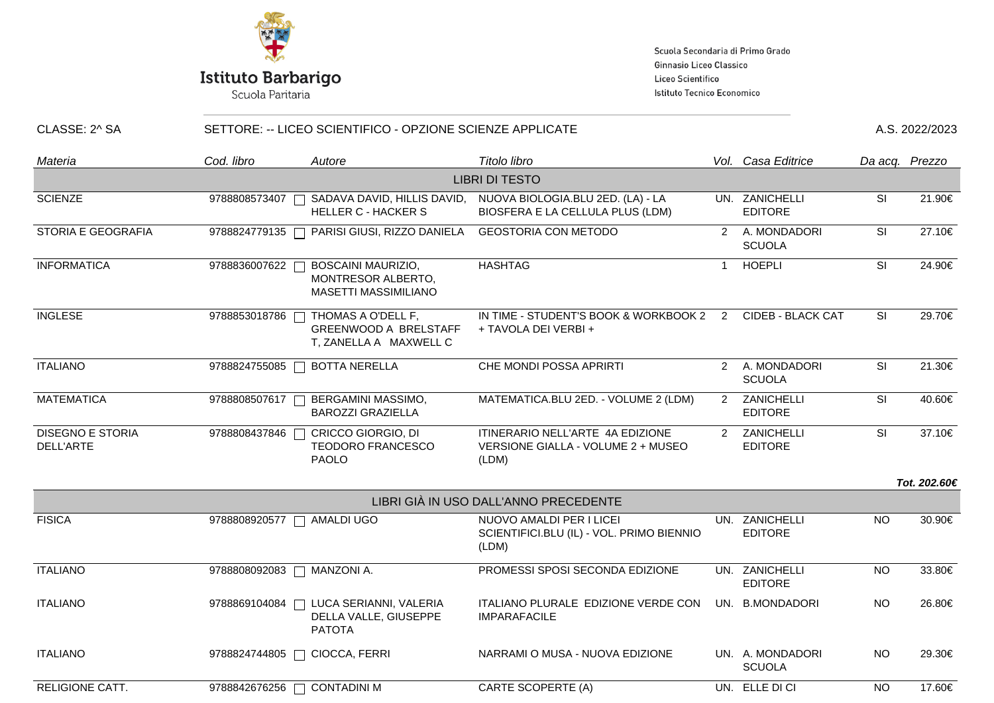

# **Istituto Barbarigo**<br>Scuola Paritaria

Scuola Secondaria di Primo Grado Ginnasio Liceo Classico Liceo Scientifico Istituto Tecnico Economico

| CLASSE: 2^ SA                        | SETTORE: -- LICEO SCIENTIFICO - OPZIONE SCIENZE APPLICATE |                                                                                |                                                                                 |                |                                   | A.S. 2022/2023           |                |  |
|--------------------------------------|-----------------------------------------------------------|--------------------------------------------------------------------------------|---------------------------------------------------------------------------------|----------------|-----------------------------------|--------------------------|----------------|--|
| Materia                              | Cod. libro                                                | Autore                                                                         | Titolo libro                                                                    |                | Vol. Casa Editrice                |                          | Da acq. Prezzo |  |
|                                      |                                                           |                                                                                | <b>LIBRI DI TESTO</b>                                                           |                |                                   |                          |                |  |
| <b>SCIENZE</b>                       | 9788808573407                                             | SADAVA DAVID, HILLIS DAVID,<br><b>HELLER C - HACKER S</b>                      | NUOVA BIOLOGIA.BLU 2ED. (LA) - LA<br>BIOSFERA E LA CELLULA PLUS (LDM)           |                | UN. ZANICHELLI<br><b>EDITORE</b>  | SI                       | 21.90€         |  |
| <b>STORIA E GEOGRAFIA</b>            | 9788824779135                                             | PARISI GIUSI, RIZZO DANIELA                                                    | <b>GEOSTORIA CON METODO</b>                                                     |                | 2 A. MONDADORI<br><b>SCUOLA</b>   | SI                       | 27.10€         |  |
| <b>INFORMATICA</b>                   | 9788836007622                                             | <b>BOSCAINI MAURIZIO,</b><br>MONTRESOR ALBERTO,<br><b>MASETTI MASSIMILIANO</b> | <b>HASHTAG</b>                                                                  | $\overline{1}$ | <b>HOEPLI</b>                     | SI                       | 24.90€         |  |
| <b>INGLESE</b>                       | 9788853018786                                             | THOMAS A O'DELL F,<br><b>GREENWOOD A BRELSTAFF</b><br>T, ZANELLA A MAXWELL C   | IN TIME - STUDENT'S BOOK & WORKBOOK 2 2<br>+ TAVOLA DEI VERBI +                 |                | <b>CIDEB - BLACK CAT</b>          | <b>SI</b>                | 29.70€         |  |
| <b>ITALIANO</b>                      | 9788824755085                                             | <b>BOTTA NERELLA</b>                                                           | CHE MONDI POSSA APRIRTI                                                         |                | 2 A. MONDADORI<br><b>SCUOLA</b>   | <b>SI</b>                | 21.30€         |  |
| <b>MATEMATICA</b>                    | 9788808507617                                             | BERGAMINI MASSIMO,<br><b>BAROZZI GRAZIELLA</b>                                 | MATEMATICA.BLU 2ED. - VOLUME 2 (LDM)                                            | $2^{\circ}$    | ZANICHELLI<br><b>EDITORE</b>      | SI                       | 40.60€         |  |
| <b>DISEGNO E STORIA</b><br>DELL'ARTE | 9788808437846                                             | CRICCO GIORGIO, DI<br><b>TEODORO FRANCESCO</b><br>PAOLO                        | ITINERARIO NELL'ARTE 4A EDIZIONE<br>VERSIONE GIALLA - VOLUME 2 + MUSEO<br>(LDM) | $2^{\circ}$    | ZANICHELLI<br><b>EDITORE</b>      | $\overline{\mathsf{SI}}$ | 37.10€         |  |
|                                      |                                                           |                                                                                |                                                                                 |                |                                   |                          | Tot. 202.60€   |  |
|                                      |                                                           |                                                                                | LIBRI GIÀ IN USO DALL'ANNO PRECEDENTE                                           |                |                                   |                          |                |  |
| <b>FISICA</b>                        | 9788808920577                                             | AMALDI UGO                                                                     | NUOVO AMALDI PER I LICEI<br>SCIENTIFICI.BLU (IL) - VOL. PRIMO BIENNIO<br>(LDM)  |                | UN. ZANICHELLI<br><b>EDITORE</b>  | <b>NO</b>                | 30.90€         |  |
| <b>ITALIANO</b>                      | 9788808092083                                             | MANZONI A.                                                                     | PROMESSI SPOSI SECONDA EDIZIONE                                                 |                | UN. ZANICHELLI<br><b>EDITORE</b>  | <b>NO</b>                | 33.80€         |  |
| <b>ITALIANO</b>                      | 9788869104084                                             | LUCA SERIANNI, VALERIA<br>DELLA VALLE, GIUSEPPE<br><b>PATOTA</b>               | ITALIANO PLURALE EDIZIONE VERDE CON<br><b>IMPARAFACILE</b>                      |                | UN. B.MONDADORI                   | <b>NO</b>                | 26.80€         |  |
| <b>ITALIANO</b>                      | 9788824744805                                             | CIOCCA, FERRI                                                                  | NARRAMI O MUSA - NUOVA EDIZIONE                                                 |                | UN. A. MONDADORI<br><b>SCUOLA</b> | <b>NO</b>                | 29.30€         |  |

RELIGIONE CATT. 9788842676256 CONTADINI M CARTE SCOPERTE (A) UN. ELLE DI CI NO 17.60€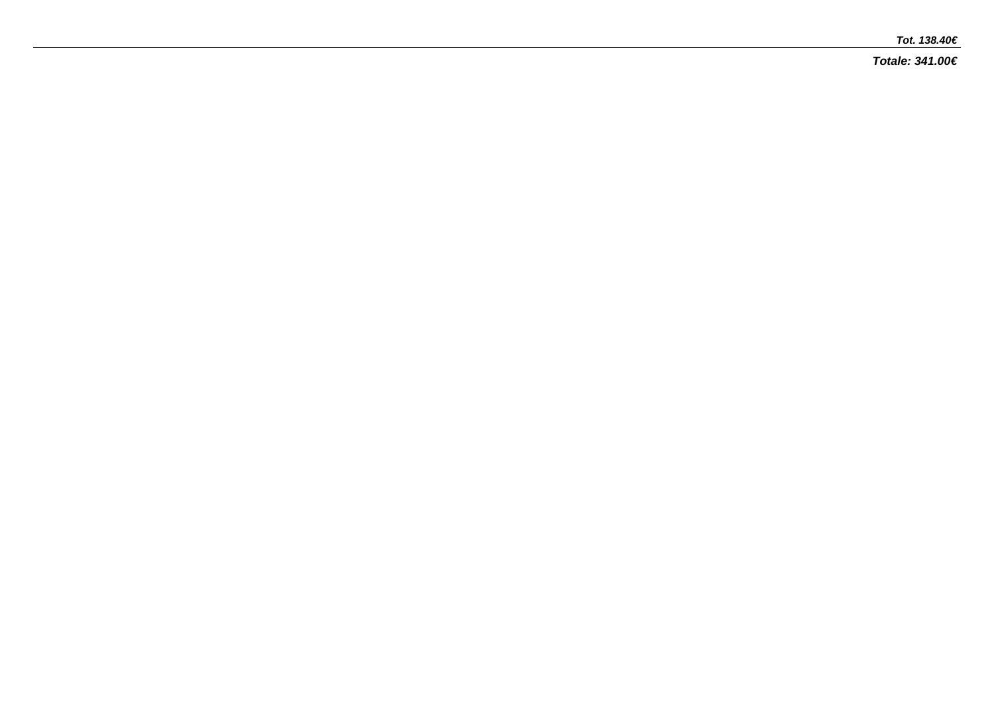#### **Tot. 138.40€**

**Totale: 341.00€**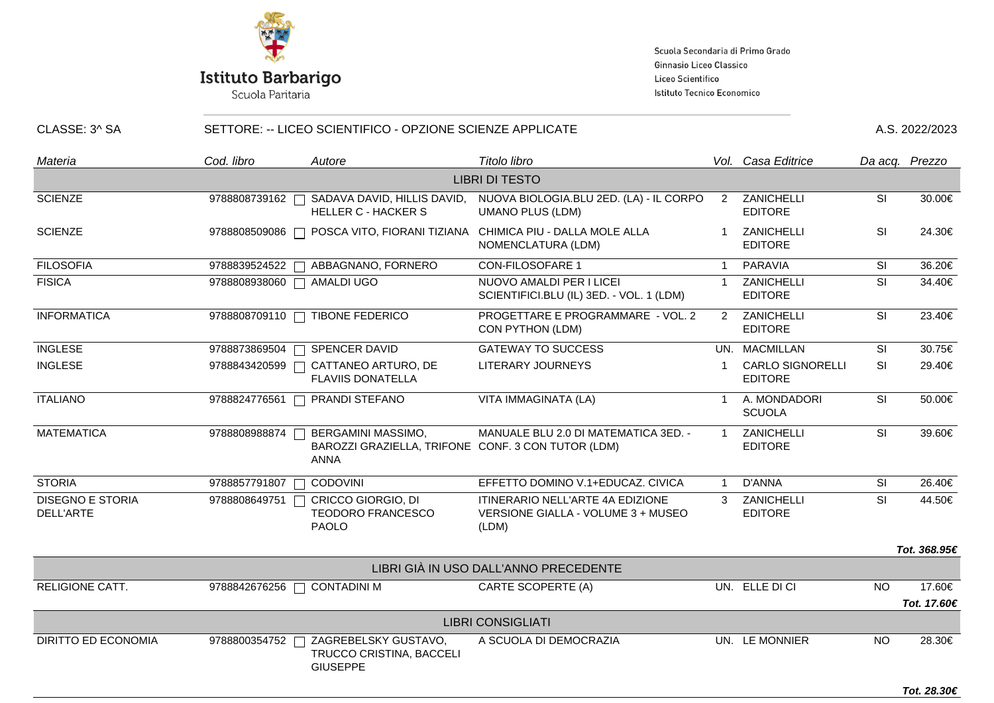

Scuola Paritaria

Scuola Secondaria di Primo Grado Ginnasio Liceo Classico Liceo Scientifico Istituto Tecnico Economico

| CLASSE: 3^ SA                        | SETTORE: -- LICEO SCIENTIFICO - OPZIONE SCIENZE APPLICATE |                                                                                         |                                                                                        |               | A.S. 2022/2023                            |           |                |
|--------------------------------------|-----------------------------------------------------------|-----------------------------------------------------------------------------------------|----------------------------------------------------------------------------------------|---------------|-------------------------------------------|-----------|----------------|
| Materia                              | Cod. libro                                                | Autore                                                                                  | Titolo libro                                                                           |               | Vol. Casa Editrice                        |           | Da acq. Prezzo |
|                                      |                                                           |                                                                                         | <b>LIBRI DI TESTO</b>                                                                  |               |                                           |           |                |
| <b>SCIENZE</b>                       |                                                           | 9788808739162   SADAVA DAVID, HILLIS DAVID,<br><b>HELLER C - HACKER S</b>               | NUOVA BIOLOGIA.BLU 2ED. (LA) - IL CORPO<br><b>UMANO PLUS (LDM)</b>                     | $\mathcal{P}$ | ZANICHELLI<br><b>EDITORE</b>              | <b>SI</b> | 30.00€         |
| <b>SCIENZE</b>                       |                                                           | 9788808509086   POSCA VITO, FIORANI TIZIANA                                             | CHIMICA PIU - DALLA MOLE ALLA<br>NOMENCLATURA (LDM)                                    |               | ZANICHELLI<br><b>EDITORE</b>              | SI        | 24.30€         |
| <b>FILOSOFIA</b>                     |                                                           | 9788839524522   ABBAGNANO, FORNERO                                                      | <b>CON-FILOSOFARE 1</b>                                                                |               | PARAVIA                                   | <b>SI</b> | 36.20€         |
| <b>FISICA</b>                        |                                                           | 9788808938060   AMALDI UGO                                                              | NUOVO AMALDI PER I LICEI<br>SCIENTIFICI.BLU (IL) 3ED. - VOL. 1 (LDM)                   |               | ZANICHELLI<br><b>EDITORE</b>              | SI        | 34.40€         |
| <b>INFORMATICA</b>                   | 9788808709110                                             | <b>TIBONE FEDERICO</b>                                                                  | PROGETTARE E PROGRAMMARE - VOL. 2<br>CON PYTHON (LDM)                                  | 2             | ZANICHELLI<br><b>EDITORE</b>              | SI        | 23.40€         |
| <b>INGLESE</b>                       | 9788873869504                                             | SPENCER DAVID                                                                           | <b>GATEWAY TO SUCCESS</b>                                                              |               | UN. MACMILLAN                             | SI        | 30.75€         |
| <b>INGLESE</b>                       | 9788843420599                                             | CATTANEO ARTURO, DE<br><b>FLAVIIS DONATELLA</b>                                         | LITERARY JOURNEYS                                                                      |               | <b>CARLO SIGNORELLI</b><br><b>EDITORE</b> | <b>SI</b> | 29.40€         |
| <b>ITALIANO</b>                      |                                                           | 9788824776561   PRANDI STEFANO                                                          | VITA IMMAGINATA (LA)                                                                   |               | A. MONDADORI<br><b>SCUOLA</b>             | <b>SI</b> | 50.00€         |
| <b>MATEMATICA</b>                    | 9788808988874                                             | BERGAMINI MASSIMO,<br>BAROZZI GRAZIELLA, TRIFONE CONF. 3 CON TUTOR (LDM)<br><b>ANNA</b> | MANUALE BLU 2.0 DI MATEMATICA 3ED. -                                                   |               | ZANICHELLI<br><b>EDITORE</b>              | SI        | 39.60€         |
| <b>STORIA</b>                        | 9788857791807                                             | <b>CODOVINI</b>                                                                         | EFFETTO DOMINO V.1+EDUCAZ. CIVICA                                                      |               | D'ANNA                                    | SI        | 26.40€         |
| <b>DISEGNO E STORIA</b><br>DELL'ARTE | 9788808649751                                             | <b>CRICCO GIORGIO, DI</b><br><b>TEODORO FRANCESCO</b><br><b>PAOLO</b>                   | <b>ITINERARIO NELL'ARTE 4A EDIZIONE</b><br>VERSIONE GIALLA - VOLUME 3 + MUSEO<br>(LDM) | $\mathcal{R}$ | ZANICHELLI<br><b>EDITORE</b>              | SI        | 44.50€         |
|                                      |                                                           |                                                                                         |                                                                                        |               |                                           |           | Tot. 368.95€   |
|                                      |                                                           |                                                                                         | LIBRI GIÀ IN USO DALL'ANNO PRECEDENTE                                                  |               |                                           |           |                |
| RELIGIONE CATT.                      | 9788842676256                                             | <b>CONTADINI M</b>                                                                      | CARTE SCOPERTE (A)                                                                     |               | UN. ELLE DI CI                            | <b>NO</b> | 17.60€         |
|                                      |                                                           |                                                                                         |                                                                                        |               |                                           |           | Tot. 17.60€    |
|                                      |                                                           |                                                                                         | <b>LIBRI CONSIGLIATI</b>                                                               |               |                                           |           |                |

DIRITTO ED ECONOMIA 9788800354752 ZAGREBELSKY GUSTAVO, TRUCCO CRISTINA, BACCELI GIUSEPPE A SCUOLA DI DEMOCRAZIA UN. LE MONNIER NO 28.30€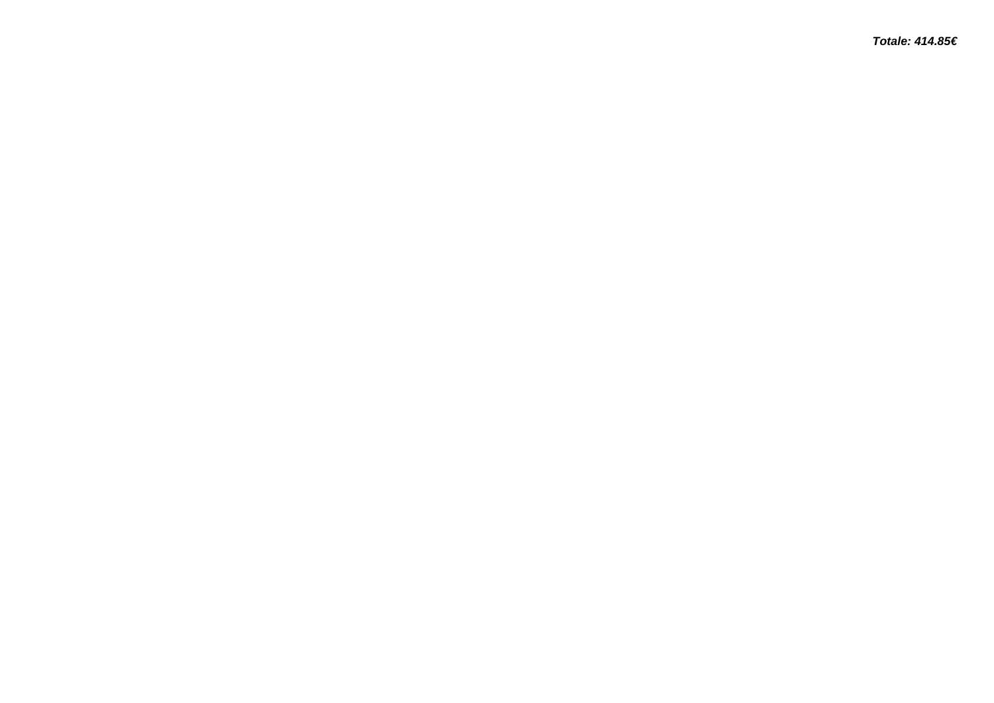**Totale: 414.85€**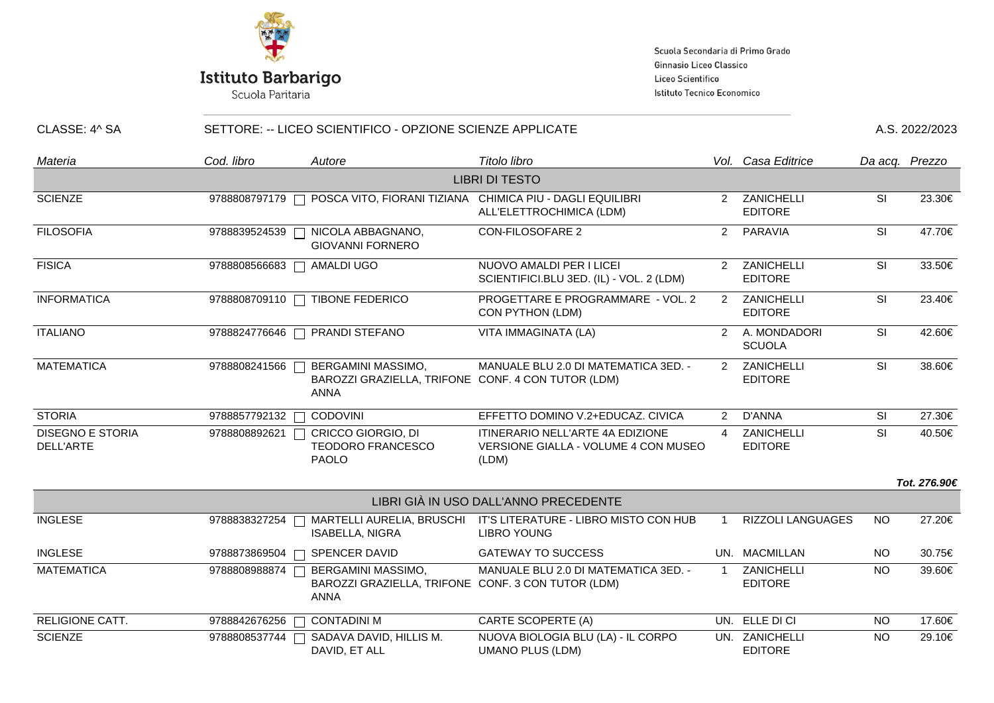

Scuola Paritaria

Scuola Secondaria di Primo Grado Ginnasio Liceo Classico Liceo Scientifico Istituto Tecnico Economico

| CLASSE: 4^ SA                               |               | SETTORE: -- LICEO SCIENTIFICO - OPZIONE SCIENZE APPLICATE                               |                                                                                       |                |                                  |                                   |                |
|---------------------------------------------|---------------|-----------------------------------------------------------------------------------------|---------------------------------------------------------------------------------------|----------------|----------------------------------|-----------------------------------|----------------|
| Materia                                     | Cod. libro    | Autore                                                                                  | Titolo libro                                                                          |                | Vol. Casa Editrice               |                                   | Da acq. Prezzo |
|                                             |               |                                                                                         | <b>LIBRI DI TESTO</b>                                                                 |                |                                  |                                   |                |
| <b>SCIENZE</b>                              | 9788808797179 | $\Box$                                                                                  | POSCA VITO, FIORANI TIZIANA CHIMICA PIU - DAGLI EQUILIBRI<br>ALL'ELETTROCHIMICA (LDM) | $\mathcal{P}$  | ZANICHELLI<br><b>EDITORE</b>     | SI                                | 23.30€         |
| <b>FILOSOFIA</b>                            | 9788839524539 | NICOLA ABBAGNANO,<br><b>GIOVANNI FORNERO</b>                                            | <b>CON-FILOSOFARE 2</b>                                                               | $\overline{2}$ | PARAVIA                          | <b>SI</b>                         | 47.70€         |
| <b>FISICA</b>                               | 9788808566683 | <b>AMALDI UGO</b>                                                                       | NUOVO AMALDI PER I LICEI<br>SCIENTIFICI.BLU 3ED. (IL) - VOL. 2 (LDM)                  |                | 2 ZANICHELLI<br><b>EDITORE</b>   | <b>SI</b>                         | 33.50€         |
| <b>INFORMATICA</b>                          | 9788808709110 | <b>TIBONE FEDERICO</b>                                                                  | PROGETTARE E PROGRAMMARE - VOL. 2<br>CON PYTHON (LDM)                                 | $2^{\circ}$    | ZANICHELLI<br><b>EDITORE</b>     | $\overline{\overline{\text{SI}}}$ | 23.40€         |
| <b>ITALIANO</b>                             | 9788824776646 | PRANDI STEFANO                                                                          | VITA IMMAGINATA (LA)                                                                  | $\mathcal{P}$  | A. MONDADORI<br><b>SCUOLA</b>    | SI                                | 42.60€         |
| <b>MATEMATICA</b>                           | 9788808241566 | BERGAMINI MASSIMO,<br>BAROZZI GRAZIELLA, TRIFONE CONF. 4 CON TUTOR (LDM)<br><b>ANNA</b> | MANUALE BLU 2.0 DI MATEMATICA 3ED. -                                                  |                | 2 ZANICHELLI<br><b>EDITORE</b>   | SI                                | 38.60€         |
| <b>STORIA</b>                               | 9788857792132 | <b>CODOVINI</b>                                                                         | EFFETTO DOMINO V.2+EDUCAZ. CIVICA                                                     | $\mathcal{P}$  | D'ANNA                           | <b>SI</b>                         | 27.30€         |
| <b>DISEGNO E STORIA</b><br><b>DELL'ARTE</b> | 9788808892621 | CRICCO GIORGIO, DI<br><b>TEODORO FRANCESCO</b><br><b>PAOLO</b>                          | ITINERARIO NELL'ARTE 4A EDIZIONE<br>VERSIONE GIALLA - VOLUME 4 CON MUSEO<br>(LDM)     | $\overline{4}$ | ZANICHELLI<br><b>EDITORE</b>     | SI                                | 40.50€         |
|                                             |               |                                                                                         |                                                                                       |                |                                  |                                   | Tot. 276.90€   |
|                                             |               |                                                                                         | LIBRI GIÀ IN USO DALL'ANNO PRECEDENTE                                                 |                |                                  |                                   |                |
| <b>INGLESE</b>                              | 9788838327254 | MARTELLI AURELIA, BRUSCHI<br><b>ISABELLA, NIGRA</b>                                     | IT'S LITERATURE - LIBRO MISTO CON HUB<br><b>LIBRO YOUNG</b>                           |                | RIZZOLI LANGUAGES                | <b>NO</b>                         | 27.20€         |
| <b>INGLESE</b>                              | 9788873869504 | <b>SPENCER DAVID</b>                                                                    | <b>GATEWAY TO SUCCESS</b>                                                             |                | UN. MACMILLAN                    | <b>NO</b>                         | 30.75€         |
| <b>MATEMATICA</b>                           | 9788808988874 | BERGAMINI MASSIMO,<br>BAROZZI GRAZIELLA, TRIFONE CONF. 3 CON TUTOR (LDM)<br><b>ANNA</b> | MANUALE BLU 2.0 DI MATEMATICA 3ED. -                                                  | $\overline{1}$ | ZANICHELLI<br><b>EDITORE</b>     | <b>NO</b>                         | 39.60€         |
| <b>RELIGIONE CATT.</b>                      | 9788842676256 | <b>CONTADINI M</b>                                                                      | CARTE SCOPERTE (A)                                                                    |                | UN. ELLE DI CI                   | <b>NO</b>                         | 17.60€         |
| <b>SCIENZE</b>                              | 9788808537744 | SADAVA DAVID, HILLIS M.<br>DAVID, ET ALL                                                | NUOVA BIOLOGIA BLU (LA) - IL CORPO<br><b>UMANO PLUS (LDM)</b>                         |                | UN. ZANICHELLI<br><b>EDITORE</b> | <b>NO</b>                         | 29.10€         |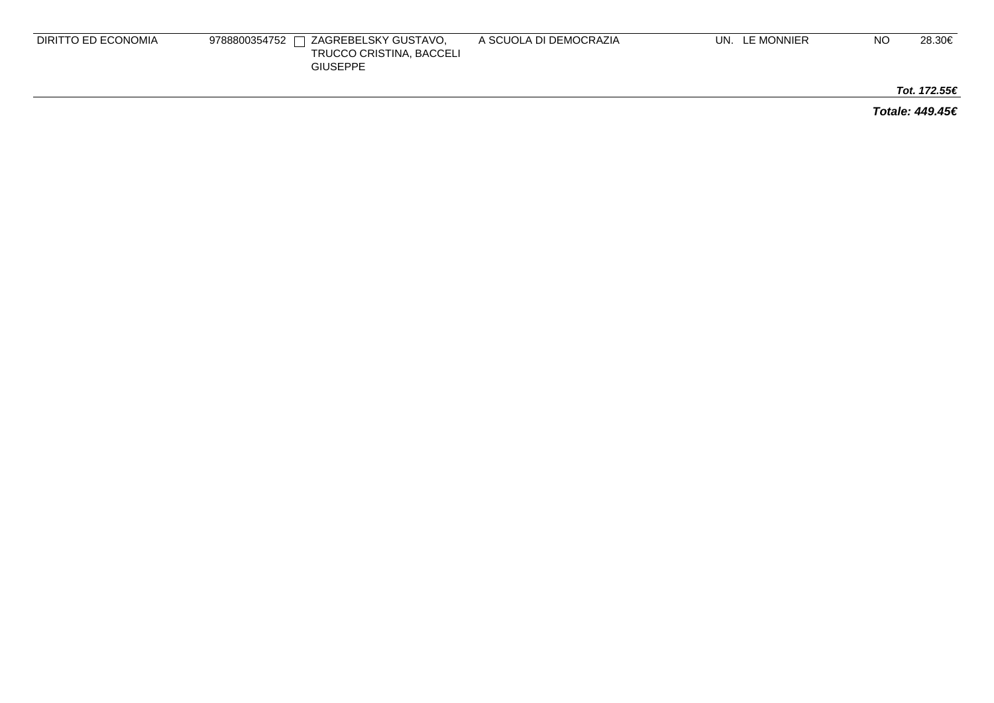| DIRITTO ED ECONOMIA | $\Box$ Zagrebelsky Gustavo.<br>9788800354752 「<br>TRUCCO CRISTINA, BACCELI<br><b>GIUSEPPE</b> | A SCUOLA DI DEMOCRAZIA | UN. LE MONNIER | NO | 28.30€ |
|---------------------|-----------------------------------------------------------------------------------------------|------------------------|----------------|----|--------|
|                     |                                                                                               |                        |                |    |        |

**Tot. 172.55€**

**Totale: 449.45€**